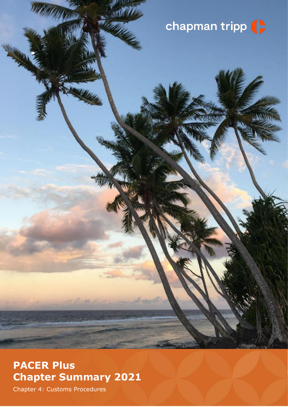# chapman tripp (

# **PACER Plus Chapter Summary 2021**

Chapter 4: Customs Procedures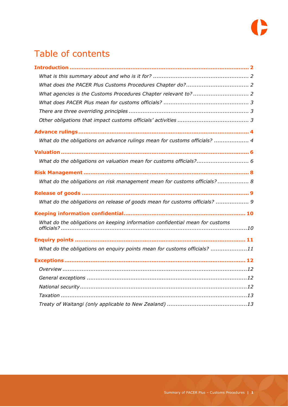

# Table of contents

| What do the obligations on advance rulings mean for customs officials?  4    |
|------------------------------------------------------------------------------|
|                                                                              |
| What do the obligations on valuation mean for customs officials? 6           |
|                                                                              |
| What do the obligations on risk management mean for customs officials? 8     |
|                                                                              |
| What do the obligations on release of goods mean for customs officials?  9   |
|                                                                              |
| What do the obligations on keeping information confidential mean for customs |
|                                                                              |
| What do the obligations on enquiry points mean for customs officials? 11     |
|                                                                              |
|                                                                              |
|                                                                              |
|                                                                              |
|                                                                              |
|                                                                              |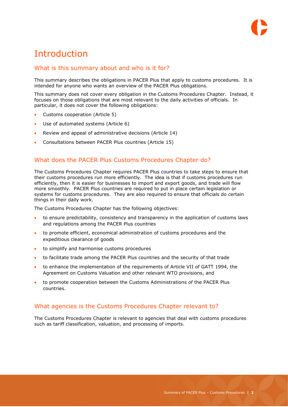

# <span id="page-2-0"></span>Introduction

## <span id="page-2-1"></span>What is this summary about and who is it for?

This summary describes the obligations in PACER Plus that apply to customs procedures. It is intended for anyone who wants an overview of the PACER Plus obligations.

This summary does not cover every obligation in the Customs Procedures Chapter. Instead, it focuses on those obligations that are most relevant to the daily activities of officials. In particular, it does not cover the following obligations:

- Customs cooperation (Article 5)
- Use of automated systems (Article 6)
- Review and appeal of administrative decisions (Article 14)
- Consultations between PACER Plus countries (Article 15)

### <span id="page-2-2"></span>What does the PACER Plus Customs Procedures Chapter do?

The Customs Procedures Chapter requires PACER Plus countries to take steps to ensure that their customs procedures run more efficiently. The idea is that if customs procedures run efficiently, then it is easier for businesses to import and export goods, and trade will flow more smoothly. PACER Plus countries are required to put in place certain legislation or systems for customs procedures. They are also required to ensure that officials do certain things in their daily work.

The Customs Procedures Chapter has the following objectives:

- to ensure predictability, consistency and transparency in the application of customs laws and regulations among the PACER Plus countries
- to promote efficient, economical administration of customs procedures and the expeditious clearance of goods
- to simplify and harmonise customs procedures
- to facilitate trade among the PACER Plus countries and the security of that trade
- to enhance the implementation of the requirements of Article VII of GATT 1994, the Agreement on Customs Valuation and other relevant WTO provisions, and
- to promote cooperation between the Customs Administrations of the PACER Plus countries.

### <span id="page-2-3"></span>What agencies is the Customs Procedures Chapter relevant to?

The Customs Procedures Chapter is relevant to agencies that deal with customs procedures such as tariff classification, valuation, and processing of imports.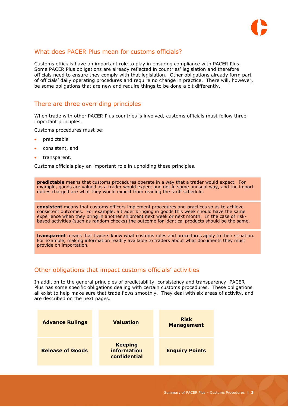

## <span id="page-3-0"></span>What does PACER Plus mean for customs officials?

Customs officials have an important role to play in ensuring compliance with PACER Plus. Some PACER Plus obligations are already reflected in countries' legislation and therefore officials need to ensure they comply with that legislation. Other obligations already form part of officials' daily operating procedures and require no change in practice. There will, however, be some obligations that are new and require things to be done a bit differently.

### <span id="page-3-1"></span>There are three overriding principles

When trade with other PACER Plus countries is involved, customs officials must follow three important principles.

Customs procedures must be:

- predictable
- consistent, and
- transparent.

Customs officials play an important role in upholding these principles.

**predictable** means that customs procedures operate in a way that a trader would expect. For example, goods are valued as a trader would expect and not in some unusual way, and the import duties charged are what they would expect from reading the tariff schedule.

**consistent** means that customs officers implement procedures and practices so as to achieve consistent outcomes. For example, a trader bringing in goods this week should have the same experience when they bring in another shipment next week or next month. In the case of riskbased activities (such as random checks) the outcome for identical products should be the same.

**transparent** means that traders know what customs rules and procedures apply to their situation. For example, making information readily available to traders about what documents they must provide on importation.

### <span id="page-3-2"></span>Other obligations that impact customs officials' activities

In addition to the general principles of predictability, consistency and transparency, PACER Plus has some specific obligations dealing with certain customs procedures. These obligations all exist to help make sure that trade flows smoothly. They deal with six areas of activity, and are described on the next pages.

| <b>Advance Rulings</b>  | <b>Valuation</b>                                     | <b>Risk</b><br><b>Management</b> |
|-------------------------|------------------------------------------------------|----------------------------------|
| <b>Release of Goods</b> | <b>Keeping</b><br><b>information</b><br>confidential | <b>Enquiry Points</b>            |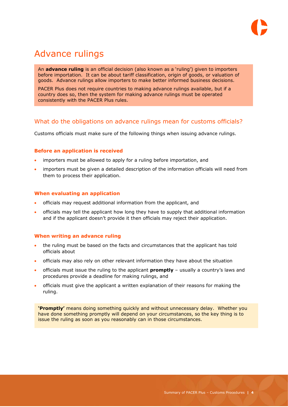# <span id="page-4-0"></span>Advance rulings

An **advance ruling** is an official decision (also known as a 'ruling') given to importers before importation. It can be about tariff classification, origin of goods, or valuation of goods. Advance rulings allow importers to make better informed business decisions.

PACER Plus does not require countries to making advance rulings available, but if a country does so, then the system for making advance rulings must be operated consistently with the PACER Plus rules.

# <span id="page-4-1"></span>What do the obligations on advance rulings mean for customs officials?

Customs officials must make sure of the following things when issuing advance rulings.

#### **Before an application is received**

- importers must be allowed to apply for a ruling before importation, and
- importers must be given a detailed description of the information officials will need from them to process their application.

#### **When evaluating an application**

- officials may request additional information from the applicant, and
- officials may tell the applicant how long they have to supply that additional information and if the applicant doesn't provide it then officials may reject their application.

#### **When writing an advance ruling**

- the ruling must be based on the facts and circumstances that the applicant has told officials about
- officials may also rely on other relevant information they have about the situation
- officials must issue the ruling to the applicant **promptly** usually a country's laws and procedures provide a deadline for making rulings, and
- officials must give the applicant a written explanation of their reasons for making the ruling.

**'Promptly'** means doing something quickly and without unnecessary delay. Whether you have done something promptly will depend on your circumstances, so the key thing is to issue the ruling as soon as you reasonably can in those circumstances.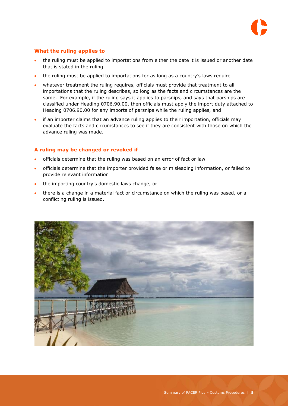

#### **What the ruling applies to**

- the ruling must be applied to importations from either the date it is issued or another date that is stated in the ruling
- the ruling must be applied to importations for as long as a country's laws require
- whatever treatment the ruling requires, officials must provide that treatment to all importations that the ruling describes, so long as the facts and circumstances are the same. For example, if the ruling says it applies to parsnips, and says that parsnips are classified under Heading 0706.90.00, then officials must apply the import duty attached to Heading 0706.90.00 for any imports of parsnips while the ruling applies, and
- if an importer claims that an advance ruling applies to their importation, officials may evaluate the facts and circumstances to see if they are consistent with those on which the advance ruling was made.

#### **A ruling may be changed or revoked if**

- officials determine that the ruling was based on an error of fact or law
- officials determine that the importer provided false or misleading information, or failed to provide relevant information
- the importing country's domestic laws change, or
- there is a change in a material fact or circumstance on which the ruling was based, or a conflicting ruling is issued.

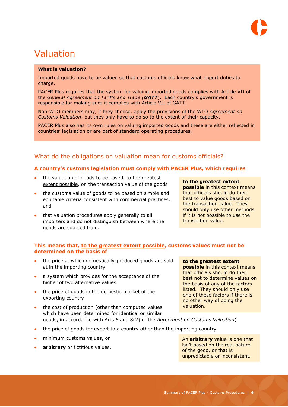# <span id="page-6-0"></span>Valuation

#### **What is valuation?**

Imported goods have to be valued so that customs officials know what import duties to charge.

PACER Plus requires that the system for valuing imported goods complies with Article VII of the *General Agreement on Tariffs and Trade (GATT*). Each country's government is responsible for making sure it complies with Article VII of GATT.

Non-WTO members may, if they choose, apply the provisions of the WTO *Agreement on Customs Valuation*, but they only have to do so to the extent of their capacity.

PACER Plus also has its own rules on valuing imported goods and these are either reflected in countries' legislation or are part of standard operating procedures.

# <span id="page-6-1"></span>What do the obligations on valuation mean for customs officials?

#### **A country's customs legislation must comply with PACER Plus, which requires**

- the valuation of goods to be based, to the greatest extent possible, on the transaction value of the goods
- the customs value of goods to be based on simple and equitable criteria consistent with commercial practices, and
- that valuation procedures apply generally to all importers and do not distinguish between where the goods are sourced from.

#### **to the greatest extent**

**possible** in this context means that officials should do their best to value goods based on the transaction value. They should only use other methods if it is not possible to use the transaction value.

#### **This means that, to the greatest extent possible, customs values must not be determined on the basis of**

- the price at which domestically-produced goods are sold at in the importing country
- a system which provides for the acceptance of the higher of two alternative values
- the price of goods in the domestic market of the exporting country

**to the greatest extent possible** in this context means that officials should do their best not to determine values on the basis of any of the factors listed. They should only use one of these factors if there is no other way of doing the valuation.

- the cost of production (other than computed values which have been determined for identical or similar goods, in accordance with Arts 6 and 8(2) of the *Agreement on Customs Valuation*)
- the price of goods for export to a country other than the importing country
- minimum customs values, or
- **arbitrary** or fictitious values.

An **arbitrary** value is one that isn't based on the real nature of the good, or that is unpredictable or inconsistent.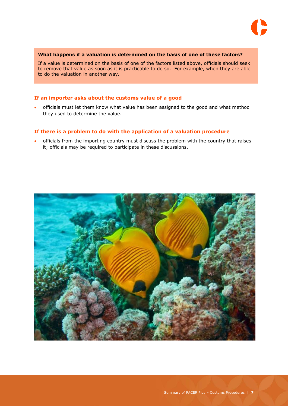

#### **What happens if a valuation is determined on the basis of one of these factors?**

If a value is determined on the basis of one of the factors listed above, officials should seek to remove that value as soon as it is practicable to do so. For example, when they are able to do the valuation in another way.

#### **If an importer asks about the customs value of a good**

 officials must let them know what value has been assigned to the good and what method they used to determine the value.

#### **If there is a problem to do with the application of a valuation procedure**

 officials from the importing country must discuss the problem with the country that raises it; officials may be required to participate in these discussions.

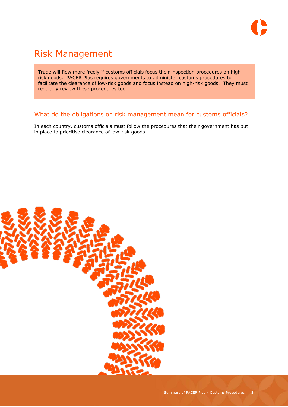

# <span id="page-8-0"></span>Risk Management

Trade will flow more freely if customs officials focus their inspection procedures on highrisk goods. PACER Plus requires governments to administer customs procedures to facilitate the clearance of low-risk goods and focus instead on high-risk goods. They must regularly review these procedures too.

# <span id="page-8-1"></span>What do the obligations on risk management mean for customs officials?

In each country, customs officials must follow the procedures that their government has put in place to prioritise clearance of low-risk goods.

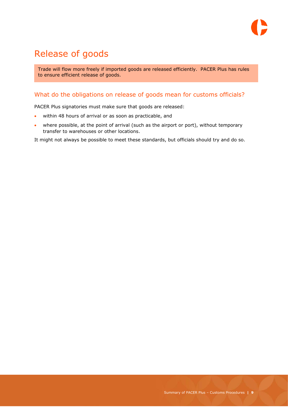

# <span id="page-9-0"></span>Release of goods

Trade will flow more freely if imported goods are released efficiently. PACER Plus has rules to ensure efficient release of goods.

# <span id="page-9-1"></span>What do the obligations on release of goods mean for customs officials?

PACER Plus signatories must make sure that goods are released:

- within 48 hours of arrival or as soon as practicable, and
- where possible, at the point of arrival (such as the airport or port), without temporary transfer to warehouses or other locations.

It might not always be possible to meet these standards, but officials should try and do so.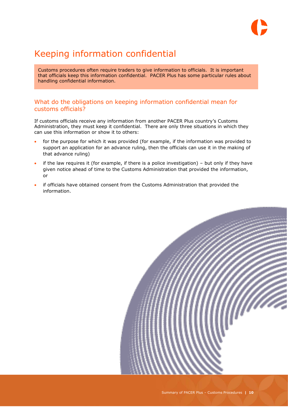

# <span id="page-10-0"></span>Keeping information confidential

Customs procedures often require traders to give information to officials. It is important that officials keep this information confidential. PACER Plus has some particular rules about handling confidential information.

## <span id="page-10-1"></span>What do the obligations on keeping information confidential mean for customs officials?

If customs officials receive any information from another PACER Plus country's Customs Administration, they must keep it confidential. There are only three situations in which they can use this information or show it to others:

- for the purpose for which it was provided (for example, if the information was provided to support an application for an advance ruling, then the officials can use it in the making of that advance ruling)
- $\bullet$  if the law requires it (for example, if there is a police investigation) but only if they have given notice ahead of time to the Customs Administration that provided the information, or
- if officials have obtained consent from the Customs Administration that provided the information.

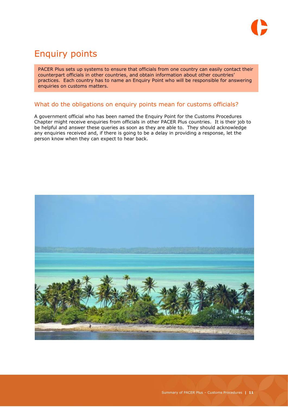

# <span id="page-11-0"></span>Enquiry points

PACER Plus sets up systems to ensure that officials from one country can easily contact their counterpart officials in other countries, and obtain information about other countries' practices. Each country has to name an Enquiry Point who will be responsible for answering enquiries on customs matters.

## <span id="page-11-1"></span>What do the obligations on enquiry points mean for customs officials?

A government official who has been named the Enquiry Point for the Customs Procedures Chapter might receive enquiries from officials in other PACER Plus countries. It is their job to be helpful and answer these queries as soon as they are able to. They should acknowledge any enquiries received and, if there is going to be a delay in providing a response, let the person know when they can expect to hear back.

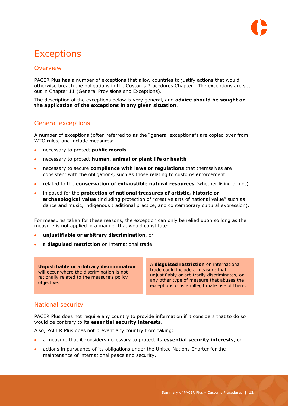# <span id="page-12-0"></span>**Exceptions**

# <span id="page-12-1"></span>**Overview**

PACER Plus has a number of exceptions that allow countries to justify actions that would otherwise breach the obligations in the Customs Procedures Chapter. The exceptions are set out in Chapter 11 (General Provisions and Exceptions).

The description of the exceptions below is very general, and **advice should be sought on the application of the exceptions in any given situation**.

### <span id="page-12-2"></span>General exceptions

A number of exceptions (often referred to as the "general exceptions") are copied over from WTO rules, and include measures:

- necessary to protect **public morals**
- necessary to protect **human, animal or plant life or health**
- necessary to secure **compliance with laws or regulations** that themselves are consistent with the obligations, such as those relating to customs enforcement
- related to the **conservation of exhaustible natural resources** (whether living or not)
- imposed for the **protection of national treasures of artistic, historic or archaeological value** (including protection of "creative arts of national value" such as dance and music, indigenous traditional practice, and contemporary cultural expression).

For measures taken for these reasons, the exception can only be relied upon so long as the measure is not applied in a manner that would constitute:

- **unjustifiable or arbitrary discrimination**, or
- a **disguised restriction** on international trade.

**Unjustifiable or arbitrary discrimination** will occur where the discrimination is not rationally related to the measure's policy objective.

A **disguised restriction** on international trade could include a measure that unjustifiably or arbitrarily discriminates, or any other type of measure that abuses the exceptions or is an illegitimate use of them.

# <span id="page-12-3"></span>National security

PACER Plus does not require any country to provide information if it considers that to do so would be contrary to its **essential security interests**.

Also, PACER Plus does not prevent any country from taking:

- a measure that it considers necessary to protect its **essential security interests**, or
- actions in pursuance of its obligations under the United Nations Charter for the maintenance of international peace and security.